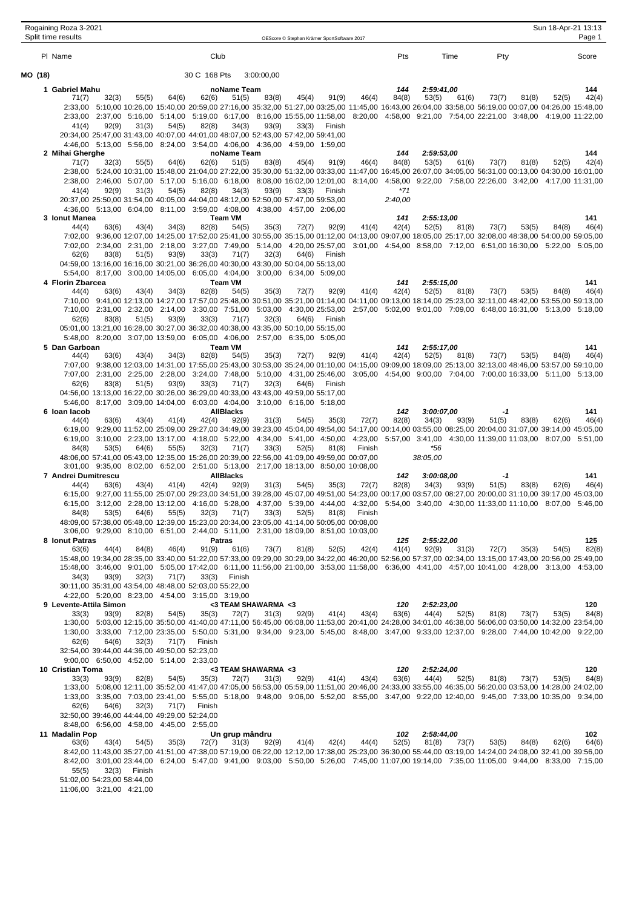|         | Rogaining Roza 3-2021<br>Split time results |       |        |       |                                                                                                                                                              |                           |                     | OEScore © Stephan Krämer SportSoftware 2017 |        |        |              |                                                                                                                                                                                                                                                                                                        |             |       | Sun 18-Apr-21 13:13 | Page 1       |
|---------|---------------------------------------------|-------|--------|-------|--------------------------------------------------------------------------------------------------------------------------------------------------------------|---------------------------|---------------------|---------------------------------------------|--------|--------|--------------|--------------------------------------------------------------------------------------------------------------------------------------------------------------------------------------------------------------------------------------------------------------------------------------------------------|-------------|-------|---------------------|--------------|
|         | PI Name                                     |       |        |       | Club                                                                                                                                                         |                           |                     |                                             |        |        | Pts          | Time                                                                                                                                                                                                                                                                                                   | Pty         |       |                     | Score        |
| MO (18) |                                             |       |        |       | 30 C 168 Pts                                                                                                                                                 |                           | 3:00:00,00          |                                             |        |        |              |                                                                                                                                                                                                                                                                                                        |             |       |                     |              |
|         | 1 Gabriel Mahu                              |       |        |       |                                                                                                                                                              | noName Team               |                     |                                             |        |        | 144          | 2:59:41,00                                                                                                                                                                                                                                                                                             |             |       |                     | 144          |
|         | 71(7)                                       | 32(3) | 55(5)  | 64(6) | 62(6)                                                                                                                                                        | 51(5)                     | 83(8)               | 45(4)                                       | 91(9)  | 46(4)  | 84(8)        | 53(5)<br>61(6)                                                                                                                                                                                                                                                                                         | 73(7)       | 81(8) | 52(5)               | 42(4)        |
|         |                                             |       |        |       |                                                                                                                                                              |                           |                     |                                             |        |        |              | 2:33,00 5:10,00 10:26,00 15:40,00 20:59,00 27:16,00 35:32,00 51:27,00 03:25,00 11:45,00 16:43,00 26:04,00 33:58,00 56:19,00 00:07,00 04:26,00 15:48,00                                                                                                                                                 |             |       |                     |              |
|         | 41(4)                                       | 92(9) | 31(3)  | 54(5) | 82(8)                                                                                                                                                        | 34(3)                     | 93(9)               | 33(3)                                       | Finish |        |              | 2:33,00 2:37,00 5:16,00 5:14,00 5:19,00 6:17,00 8:16,00 15:55,00 11:58,00 8:20,00 4:58,00 9:21,00 7:54,00 22:21,00 3:48,00 4:19,00 11:22,00                                                                                                                                                            |             |       |                     |              |
|         |                                             |       |        |       | 20:34,00 25:47,00 31:43,00 40:07,00 44:01,00 48:07,00 52:43,00 57:42,00 59:41,00                                                                             |                           |                     |                                             |        |        |              |                                                                                                                                                                                                                                                                                                        |             |       |                     |              |
|         |                                             |       |        |       | 4:46,00 5:13,00 5:56,00 8:24,00 3:54,00 4:06,00 4:36,00 4:59,00 1:59,00                                                                                      |                           |                     |                                             |        |        |              |                                                                                                                                                                                                                                                                                                        |             |       |                     |              |
|         | 2 Mihai Gherghe<br>71(7)                    | 32(3) | 55(5)  | 64(6) | 62(6)                                                                                                                                                        | noName Team<br>51(5)      | 83(8)               | 45(4)                                       | 91(9)  | 46(4)  | 144<br>84(8) | 2:59:53,00<br>53(5)<br>61(6)                                                                                                                                                                                                                                                                           | 73(7)       | 81(8) | 52(5)               | 144<br>42(4) |
|         |                                             |       |        |       |                                                                                                                                                              |                           |                     |                                             |        |        |              | 2:38,00 5:24,00 10:31,00 15:48,00 21:04,00 27:22,00 35:30,00 51:32,00 03:33,00 11:47,00 16:45,00 26:07,00 34:05,00 56:31,00 00:13,00 04:30,00 16:01,00                                                                                                                                                 |             |       |                     |              |
|         | 41(4)                                       |       | 31(3)  | 54(5) |                                                                                                                                                              |                           | 93(9)               | 33(3)                                       | Finish |        | *71          | 2:38,00 2:46,00 5:07,00 5:17,00 5:16,00 6:18,00 8:08,00 16:02,00 12:01,00 8:14,00 4:58,00 9:22,00 7:58,00 22:26,00 3:42,00 4:17,00 11:31,00                                                                                                                                                            |             |       |                     |              |
|         |                                             | 92(9) |        |       | 82(8)<br>20:37,00 25:50,00 31:54,00 40:05,00 44:04,00 48:12,00 52:50,00 57:47,00 59:53,00                                                                    | 34(3)                     |                     |                                             |        |        | 2:40,00      |                                                                                                                                                                                                                                                                                                        |             |       |                     |              |
|         |                                             |       |        |       | 4:36,00 5:13,00 6:04,00 8:11,00 3:59,00 4:08,00 4:38,00 4:57,00 2:06,00                                                                                      |                           |                     |                                             |        |        |              |                                                                                                                                                                                                                                                                                                        |             |       |                     |              |
|         | 3 Ionut Manea<br>44(4)                      | 63(6) | 43(4)  | 34(3) | 82(8)                                                                                                                                                        | <b>Team VM</b><br>54(5)   | 35(3)               | 72(7)                                       | 92(9)  | 41(4)  | 141<br>42(4) | 2:55:13,00<br>52(5)<br>81(8)                                                                                                                                                                                                                                                                           | 73(7)       | 53(5) | 84(8)               | 141<br>46(4) |
|         |                                             |       |        |       |                                                                                                                                                              |                           |                     |                                             |        |        |              | 7:02,00 9:36,00 12:07,00 14:25,00 17:52,00 25:41,00 30:55,00 35:15,00 01:12,00 04:13,00 09:07,00 18:05,00 25:17,00 32:08,00 48:38,00 54:00,00 59:05,00                                                                                                                                                 |             |       |                     |              |
|         |                                             |       |        |       |                                                                                                                                                              |                           |                     |                                             |        |        |              | 7:02,00 2:34,00 2:31,00 2:18,00 3:27,00 7:49,00 5:14,00 4:20,00 25:57,00 3:01,00 4:54,00 8:58,00 7:12,00 6:51,00 16:30,00 5:22,00 5:05,00                                                                                                                                                              |             |       |                     |              |
|         | 62(6)                                       | 83(8) | 51(5)  | 93(9) | 33(3)<br>04:59,00 13:16,00 16:16,00 30:21,00 36:26,00 40:30,00 43:30,00 50:04,00 55:13,00                                                                    | 71(7)                     | 32(3)               | 64(6)                                       | Finish |        |              |                                                                                                                                                                                                                                                                                                        |             |       |                     |              |
|         |                                             |       |        |       | 5:54,00 8:17,00 3:00,00 14:05,00 6:05,00 4:04,00 3:00,00 6:34,00 5:09,00                                                                                     |                           |                     |                                             |        |        |              |                                                                                                                                                                                                                                                                                                        |             |       |                     |              |
|         | 4 Florin Zbarcea                            |       |        |       |                                                                                                                                                              | <b>Team VM</b>            |                     |                                             |        |        | 141          | 2:55:15.00                                                                                                                                                                                                                                                                                             |             |       |                     | 141          |
|         | 44(4)                                       | 63(6) | 43(4)  | 34(3) | 82(8)                                                                                                                                                        | 54(5)                     | 35(3)               | 72(7)                                       | 92(9)  | 41(4)  | 42(4)        | 52(5)<br>81(8)<br>7:10,00 9:41,00 12:13,00 14:27,00 17:57,00 25:48,00 30:51,00 35:21,00 01:14,00 04:11,00 09:13,00 18:14,00 25:23,00 32:11,00 48:42,00 53:55,00 59:13,00                                                                                                                               | 73(7)       | 53(5) | 84(8)               | 46(4)        |
|         |                                             |       |        |       |                                                                                                                                                              |                           |                     |                                             |        |        |              | 7:10,00 2:31,00 2:32,00 2:14,00 3:30,00 7:51,00 5:03,00 4:30,00 2:53,00 2:57,00 5:02,00 9:01,00 7:09,00 6:48,00 16:31,00 5:13,00 5:18,00                                                                                                                                                               |             |       |                     |              |
|         | 62(6)                                       | 83(8) | 51(5)  | 93(9) | 33(3)                                                                                                                                                        | 71(7)                     | 32(3)               | 64(6)                                       | Finish |        |              |                                                                                                                                                                                                                                                                                                        |             |       |                     |              |
|         |                                             |       |        |       | 05:01,00 13:21,00 16:28,00 30:27,00 36:32,00 40:38,00 43:35,00 50:10,00 55:15,00<br>5:48,00 8:20,00 3:07,00 13:59,00 6:05,00 4:06,00 2:57,00 6:35,00 5:05,00 |                           |                     |                                             |        |        |              |                                                                                                                                                                                                                                                                                                        |             |       |                     |              |
|         | 5 Dan Garboan                               |       |        |       |                                                                                                                                                              | <b>Team VM</b>            |                     |                                             |        |        | 141          | 2:55:17,00                                                                                                                                                                                                                                                                                             |             |       |                     | 141          |
|         | 44(4)                                       | 63(6) | 43(4)  | 34(3) | 82(8)                                                                                                                                                        | 54(5)                     | 35(3)               | 72(7)                                       | 92(9)  | 41(4)  | 42(4)        | 52(5)<br>81(8)                                                                                                                                                                                                                                                                                         | 73(7)       | 53(5) | 84(8)               | 46(4)        |
|         |                                             |       |        |       |                                                                                                                                                              |                           |                     |                                             |        |        |              | 7:07,00 9:38,00 12:03,00 14:31,00 17:55,00 25:43,00 30:53,00 35:24,00 01:10,00 04:15,00 09:09,00 18:09,00 25:13,00 32:13,00 48:46,00 53:57,00 59:10,00<br>7:07,00 2:31,00 2:25,00 2:28,00 3:24,00 7:48,00 5:10,00 4:31,00 25:46,00 3:05,00 4:54,00 9:00,00 7:04,00 7:00,00 16:33,00 5:11,00 5:13,00    |             |       |                     |              |
|         | 62(6)                                       | 83(8) | 51(5)  | 93(9) | 33(3)                                                                                                                                                        | 71(7)                     | 32(3)               | 64(6)                                       | Finish |        |              |                                                                                                                                                                                                                                                                                                        |             |       |                     |              |
|         |                                             |       |        |       | 04:56,00 13:13,00 16:22,00 30:26,00 36:29,00 40:33,00 43:43,00 49:59,00 55:17,00                                                                             |                           |                     |                                             |        |        |              |                                                                                                                                                                                                                                                                                                        |             |       |                     |              |
|         | 5:46.00<br>6 Ioan Iacob                     |       |        |       | 8:17,00 3:09,00 14:04,00 6:03,00 4:04,00 3:10,00 6:16,00 5:18,00                                                                                             | <b>AllBlacks</b>          |                     |                                             |        |        | 142          | 3:00:07,00                                                                                                                                                                                                                                                                                             | -1          |       |                     | 141          |
|         | 44(4)                                       | 63(6) | 43(4)  | 41(4) | 42(4)                                                                                                                                                        | 92(9)                     | 31(3)               | 54(5)                                       | 35(3)  | 72(7)  | 82(8)        | 34(3)<br>93(9)                                                                                                                                                                                                                                                                                         | 51(5)       | 83(8) | 62(6)               | 46(4)        |
|         |                                             |       |        |       |                                                                                                                                                              |                           |                     |                                             |        |        |              | 6:19,00 9:29,00 11:52,00 25:09,00 29:27,00 34:49,00 39:23,00 45:04,00 49:54,00 54:17,00 00:14,00 03:55,00 08:25,00 20:04,00 31:07,00 39:14,00 45:05,00                                                                                                                                                 |             |       |                     |              |
|         | 84(8)                                       | 53(5) | 64(6)  | 55(5) | 32(3)                                                                                                                                                        | 71(7)                     | 33(3)               | 52(5)                                       | 81(8)  | Finish |              | 6:19,00 3:10,00 2:23,00 13:17,00 4:18,00 5:22,00 4:34,00 5:41,00 4:50,00 4:23,00 5:57,00 3:41,00 4:30,00 11:39,00 11:03,00 8:07,00 5:51,00<br>*56                                                                                                                                                      |             |       |                     |              |
|         |                                             |       |        |       | 48:06.00 57:41.00 05:43.00 12:35.00 15:26.00 20:39.00 22:56.00 41:09.00 49:59.00 00:07.00                                                                    |                           |                     |                                             |        |        |              | 38:05.00                                                                                                                                                                                                                                                                                               |             |       |                     |              |
|         |                                             |       |        |       | 3:01,00 9:35,00 8:02,00 6:52,00 2:51,00 5:13,00 2:17,00 18:13,00 8:50,00 10:08,00                                                                            |                           |                     |                                             |        |        |              |                                                                                                                                                                                                                                                                                                        |             |       |                     |              |
|         | 7 Andrei Dumitrescu<br>44(4)                | 63(6) | 43(4)  | 41(4) | 42(4)                                                                                                                                                        | <b>AllBlacks</b><br>92(9) | 31(3)               | 54(5)                                       | 35(3)  | 72(7)  | 142<br>82(8) | 3:00:08.00<br>34(3)<br>93(9)                                                                                                                                                                                                                                                                           | -1<br>51(5) | 83(8) | 62(6)               | 141<br>46(4) |
|         |                                             |       |        |       |                                                                                                                                                              |                           |                     |                                             |        |        |              | 6:15,00 9:27,00 11:55,00 25:07,00 29:23,00 34:51,00 39:28,00 45:07,00 49:51,00 54:23,00 00:17,00 03:57,00 08:27,00 20:00,00 31:10,00 39:17,00 45:03,00                                                                                                                                                 |             |       |                     |              |
|         | 84(8)                                       | 53(5) | 64(6)  | 55(5) | 32(3)                                                                                                                                                        | 71(7)                     | 33(3)               | 52(5)                                       | 81(8)  | Finish |              | 6:15,00 3:12,00 2:28,00 13:12,00 4:16,00 5:28,00 4:37,00 5:39,00 4:44,00 4:32,00 5:54,00 3:40,00 4:30,00 11:33,00 11:10,00 8:07,00 5:46,00                                                                                                                                                             |             |       |                     |              |
|         |                                             |       |        |       | 48:09,00 57:38,00 05:48,00 12:39,00 15:23,00 20:34,00 23:05,00 41:14,00 50:05,00 00:08,00                                                                    |                           |                     |                                             |        |        |              |                                                                                                                                                                                                                                                                                                        |             |       |                     |              |
|         |                                             |       |        |       | 3:06,00 9:29,00 8:10,00 6:51,00 2:44,00 5:11,00 2:31,00 18:09,00 8:51,00 10:03,00                                                                            |                           |                     |                                             |        |        |              |                                                                                                                                                                                                                                                                                                        |             |       |                     |              |
|         | 8 Ionut Patras<br>63(6)                     | 44(4) | 84(8)  | 46(4) | <b>Patras</b><br>91(9)                                                                                                                                       | 61(6)                     | 73(7)               | 81(8)                                       | 52(5)  | 42(4)  | 125<br>41(4) | 2:55:22,00<br>92(9)<br>31(3)                                                                                                                                                                                                                                                                           | 72(7)       | 35(3) | 54(5)               | 125<br>82(8) |
|         |                                             |       |        |       |                                                                                                                                                              |                           |                     |                                             |        |        |              | 15:48,00 19:34,00 28:35,00 33:40,00 51:22,00 57:33,00 09:29,00 30:29,00 34:22,00 46:20,00 52:56,00 57:37,00 02:34,00 13:15,00 17:43,00 20:56,00 25:49,00                                                                                                                                               |             |       |                     |              |
|         |                                             |       |        |       |                                                                                                                                                              |                           |                     |                                             |        |        |              | 15:48,00 3:46,00 9:01,00 5:05,00 17:42,00 6:11,00 11:56,00 21:00,00 3:53,00 11:58,00 6:36,00 4:41,00 4:57,00 10:41,00 4:28,00 3:13,00 4:53,00                                                                                                                                                          |             |       |                     |              |
|         | 34(3)                                       | 93(9) | 32(3)  | 71(7) | 30:11,00 35:31,00 43:54,00 48:48,00 52:03,00 55:22,00                                                                                                        | 33(3) Finish              |                     |                                             |        |        |              |                                                                                                                                                                                                                                                                                                        |             |       |                     |              |
|         |                                             |       |        |       | 4:22,00 5:20,00 8:23,00 4:54,00 3:15,00 3:19,00                                                                                                              |                           |                     |                                             |        |        |              |                                                                                                                                                                                                                                                                                                        |             |       |                     |              |
|         | 9 Levente-Attila Simon                      |       |        |       |                                                                                                                                                              |                           | <3 TEAM SHAWARMA <3 |                                             |        |        | 120          | 2:52:23,00                                                                                                                                                                                                                                                                                             |             |       |                     | 120          |
|         | 33(3)                                       | 93(9) | 82(8)  | 54(5) | 35(3)                                                                                                                                                        | 72(7)                     | 31(3)               | 92(9)                                       | 41(4)  | 43(4)  | 63(6)        | 44(4)<br>52(5)<br>1:30,00 5:03,00 12:15,00 35:50,00 41:40,00 47:11,00 56:45,00 06:08,00 11:53,00 20:41,00 24:28,00 34:01,00 46:38,00 56:06,00 03:50,00 14:32,00 23:54,00                                                                                                                               | 81(8)       | 73(7) | 53(5)               | 84(8)        |
|         |                                             |       |        |       |                                                                                                                                                              |                           |                     |                                             |        |        |              | 1:30,00 3:33,00 7:12,00 23:35,00 5:50,00 5:31,00 9:34,00 9:23,00 5:45,00 8:48,00 3:47,00 9:33,00 12:37,00 9:28,00 7:44,00 10:42,00 9:22,00                                                                                                                                                             |             |       |                     |              |
|         | 62(6)                                       | 64(6) | 32(3)  | 71(7) | Finish                                                                                                                                                       |                           |                     |                                             |        |        |              |                                                                                                                                                                                                                                                                                                        |             |       |                     |              |
|         |                                             |       |        |       | 32:54,00 39:44,00 44:36,00 49:50,00 52:23,00<br>9:00,00 6:50,00 4:52,00 5:14,00 2:33,00                                                                      |                           |                     |                                             |        |        |              |                                                                                                                                                                                                                                                                                                        |             |       |                     |              |
|         | 10 Cristian Toma                            |       |        |       |                                                                                                                                                              |                           | <3 TEAM SHAWARMA <3 |                                             |        |        | 120          | 2:52:24,00                                                                                                                                                                                                                                                                                             |             |       |                     | 120          |
|         | 33(3)                                       | 93(9) | 82(8)  | 54(5) | 35(3)                                                                                                                                                        | 72(7)                     | 31(3)               | 92(9)                                       | 41(4)  | 43(4)  | 63(6)        | 44(4)<br>52(5)                                                                                                                                                                                                                                                                                         | 81(8)       | 73(7) | 53(5)               | 84(8)        |
|         |                                             |       |        |       |                                                                                                                                                              |                           |                     |                                             |        |        |              | 1:33,00 5:08,00 12:11,00 35:52,00 41:47,00 47:05,00 56:53,00 05:59,00 11:51,00 20:46,00 24:33,00 33:55,00 46:35,00 56:20,00 03:53,00 14:28,00 24:02,00<br>1:33,00 3:35,00 7:03,00 23:41,00 5:55,00 5:18,00 9:48,00 9:06,00 5:52,00 8:55,00 3:47,00 9:22,00 12:40,00 9:45,00 7:33,00 10:35,00 9:34,00   |             |       |                     |              |
|         | 62(6)                                       | 64(6) | 32(3)  | 71(7) | Finish                                                                                                                                                       |                           |                     |                                             |        |        |              |                                                                                                                                                                                                                                                                                                        |             |       |                     |              |
|         |                                             |       |        |       | 32:50,00 39:46,00 44:44,00 49:29,00 52:24,00                                                                                                                 |                           |                     |                                             |        |        |              |                                                                                                                                                                                                                                                                                                        |             |       |                     |              |
|         | 11 Madalin Pop                              |       |        |       | 8:48,00 6:56,00 4:58,00 4:45,00 2:55,00                                                                                                                      | Un grup mândru            |                     |                                             |        |        | 102          | 2:58:44,00                                                                                                                                                                                                                                                                                             |             |       |                     | 102          |
|         | 63(6)                                       | 43(4) | 54(5)  | 35(3) | 72(7)                                                                                                                                                        | 31(3)                     | 92(9)               | 41(4)                                       | 42(4)  | 44(4)  | 52(5)        | 81(8)<br>73(7)                                                                                                                                                                                                                                                                                         | 53(5)       | 84(8) | 62(6)               | 64(6)        |
|         |                                             |       |        |       |                                                                                                                                                              |                           |                     |                                             |        |        |              | 8:42,00 11:43,00 35:27,00 41:51,00 47:38,00 57:19,00 06:22,00 12:12,00 17:38,00 25:23,00 36:30,00 55:44,00 03:19,00 14:24,00 24:08,00 32:41,00 39:56,00<br>8:42,00 3:01,00 23:44,00 6:24,00 5:47,00 9:41,00 9:03,00 5:50,00 5:26,00 7:45,00 11:07,00 19:14,00 7:35,00 11:05,00 9:44,00 8:33,00 7:15,00 |             |       |                     |              |
|         | 55(5)                                       | 32(3) | Finish |       |                                                                                                                                                              |                           |                     |                                             |        |        |              |                                                                                                                                                                                                                                                                                                        |             |       |                     |              |
|         | 51:02,00 54:23,00 58:44,00                  |       |        |       |                                                                                                                                                              |                           |                     |                                             |        |        |              |                                                                                                                                                                                                                                                                                                        |             |       |                     |              |
|         | 11:06,00 3:21,00 4:21,00                    |       |        |       |                                                                                                                                                              |                           |                     |                                             |        |        |              |                                                                                                                                                                                                                                                                                                        |             |       |                     |              |
|         |                                             |       |        |       |                                                                                                                                                              |                           |                     |                                             |        |        |              |                                                                                                                                                                                                                                                                                                        |             |       |                     |              |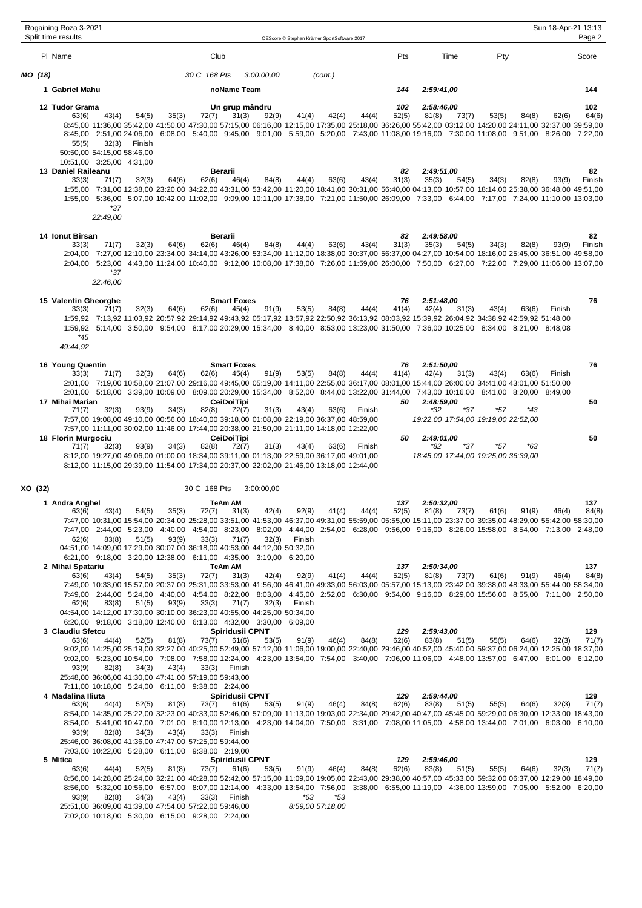|         | Rogaining Roza 3-2021<br>Split time results                                                                                                                                                                                                                                                                                                                                                                                                                                            |                                  |                                                                                           |            | OEScore © Stephan Krämer SportSoftware 2017 |                       |              |                     |                                                   |       | Sun 18-Apr-21 13:13 | Page 2       |
|---------|----------------------------------------------------------------------------------------------------------------------------------------------------------------------------------------------------------------------------------------------------------------------------------------------------------------------------------------------------------------------------------------------------------------------------------------------------------------------------------------|----------------------------------|-------------------------------------------------------------------------------------------|------------|---------------------------------------------|-----------------------|--------------|---------------------|---------------------------------------------------|-------|---------------------|--------------|
|         | PI Name                                                                                                                                                                                                                                                                                                                                                                                                                                                                                |                                  | Club                                                                                      |            |                                             |                       | Pts          | Time                | Pty                                               |       |                     | Score        |
| MO (18) |                                                                                                                                                                                                                                                                                                                                                                                                                                                                                        |                                  | 30 C 168 Pts                                                                              | 3:00:00,00 | (cont.)                                     |                       |              |                     |                                                   |       |                     |              |
|         | 1 Gabriel Mahu                                                                                                                                                                                                                                                                                                                                                                                                                                                                         |                                  | noName Team                                                                               |            |                                             |                       | 144          | 2:59:41.00          |                                                   |       |                     | 144          |
|         | 12 Tudor Grama                                                                                                                                                                                                                                                                                                                                                                                                                                                                         |                                  | Un grup mândru                                                                            |            |                                             |                       | 102          | 2:58:46,00          |                                                   |       |                     | 102          |
|         | 63(6)<br>43(4)<br>8:45,00 11:36,00 35:42,00 41:50,00 47:30,00 57:15,00 06:16,00 12:15,00 17:35,00 25:18,00 36:26,00 55:42,00 03:12,00 14:20,00 24:11,00 32:37,00 39:59,00<br>8:45,00 2:51,00 24:06,00 6:08,00 5:40,00 9:45,00 9:01,00 5:59,00 5:20,00 7:43,00 11:08,00 19:16,00 7:30,00 11:08,00 9:51,00 8:26,00 7:22,00<br>55(5)<br>32(3)<br>50:50,00 54:15,00 58:46,00<br>10:51,00 3:25,00 4:31,00                                                                                   | 54(5)<br>35(3)<br>Finish         | 72(7)<br>31(3)                                                                            | 92(9)      | 41(4)                                       | 42(4)<br>44(4)        | 52(5)        | 81(8)               | 53(5)<br>73(7)                                    | 84(8) | 62(6)               | 64(6)        |
|         | 13 Daniel Raileanu<br>33(3)<br>71(7)<br>1:55,00 7:31,00 12:38,00 23:20,00 34:22,00 43:31,00 53:42,00 11:20,00 18:41,00 30:31,00 56:40,00 04:13,00 10:57,00 18:14,00 25:38,00 36:48,00 49:51,00<br>1:55,00 5:36,00 5:07,00 10:42,00 11:02,00 9:09,00 10:11,00 17:38,00 7:21,00 11:50,00 26:09,00 7:33,00 6:44,00 7:17,00 7:24,00 11:10,00 13:03,00<br>*37<br>22:49,00                                                                                                                   | 64(6)<br>32(3)                   | Berarii<br>62(6)<br>46(4)                                                                 | 84(8)      | 44(4)                                       | 63(6)<br>43(4)        | 82<br>31(3)  | 2:49:51,00<br>35(3) | 54(5)<br>34(3)                                    | 82(8) | 93(9)               | 82<br>Finish |
|         | 14 Ionut Birsan                                                                                                                                                                                                                                                                                                                                                                                                                                                                        |                                  | Berarii                                                                                   |            |                                             |                       | 82           | 2:49:58,00          |                                                   |       |                     | 82           |
|         | 71(7)<br>33(3)<br>2:04,00 7:27,00 12:10,00 23:34,00 34:14,00 43:26,00 53:34,00 11:12,00 18:38,00 30:37,00 56:37,00 04:27,00 10:54,00 18:16,00 25:45,00 36:51,00 49:58,00<br>2:04,00 5:23,00 4:43,00 11:24,00 10:40,00 9:12,00 10:08,00 17:38,00 7:26,00 11:59,00 26:00,00 7:50,00 6:27,00 7:22,00 7:29,00 11:06,00 13:07,00<br>$*37$<br>22:46,00                                                                                                                                       | 64(6)<br>32(3)                   | 62(6)<br>46(4)                                                                            | 84(8)      | 44(4)                                       | 63(6)<br>43(4)        | 31(3)        | 35(3)               | 54(5)<br>34(3)                                    | 82(8) | 93(9)               | Finish       |
|         | 15 Valentin Gheorghe                                                                                                                                                                                                                                                                                                                                                                                                                                                                   |                                  | <b>Smart Foxes</b>                                                                        |            |                                             |                       | 76           | 2:51:48.00          |                                                   |       |                     | 76           |
|         | 33(3)<br>71(7)<br>1:59,92 7:13,92 11:03,92 20:57,92 29:14,92 49:43,92 05:17,92 13:57,92 22:50,92 36:13,92 08:03,92 15:39,92 26:04,92 34:38,92 42:59,92 51:48,00<br>1:59,92 5:14,00 3:50,00 9:54,00 8:17,00 20:29,00 15:34,00 8:40,00 8:53,00 13:23,00 31:50,00 7:36,00 10:25,00 8:34,00 8:21,00 8:48,08<br>$*45$<br>49:44,92                                                                                                                                                           | 32(3)<br>64(6)                   | 62(6)<br>45(4)                                                                            | 91(9)      | 53(5)                                       | 84(8)<br>44(4)        | 41(4)        | 42(4)               | 31(3)<br>43(4)                                    | 63(6) | Finish              |              |
|         | 16 Young Quentin                                                                                                                                                                                                                                                                                                                                                                                                                                                                       |                                  | <b>Smart Foxes</b>                                                                        |            |                                             |                       | 76           | 2:51:50,00          |                                                   |       |                     | 76           |
|         | 33(3)<br>71(7)<br>2:01,00 7:19,00 10:58,00 21:07,00 29:16,00 49:45,00 05:19,00 14:11,00 22:55,00 36:17,00 08:01,00 15:44,00 26:00,00 34:41,00 43:01,00 51:50,00<br>2:01,00 5:18,00 3:39,00 10:09,00 8:09,00 20:29,00 15:34,00 8:52,00 8:44,00 13:22,00 31:44,00 7:43,00 10:16,00 8:41,00 8:20,00 8:49,00                                                                                                                                                                               | 32(3)<br>64(6)                   | 62(6)<br>45(4)                                                                            | 91(9)      | 53(5)                                       | 84(8)<br>44(4)        | 41(4)        | 42(4)               | 31(3)<br>43(4)                                    | 63(6) | Finish              |              |
|         | 17 Mihai Marian<br>32(3)<br>71(7)<br>7:57,00 19:08,00 49:10,00 00:56,00 18:40,00 39:18,00 01:08,00 22:19,00 36:37,00 48:59,00<br>7:57,00 11:11,00 30:02,00 11:46,00 17:44,00 20:38,00 21:50,00 21:11,00 14:18,00 12:22,00                                                                                                                                                                                                                                                              | 93(9)<br>34(3)                   | <b>CeiDoiTipi</b><br>82(8)<br>72(7)                                                       | 31(3)      | 43(4)                                       | 63(6)<br>Finish       | 50           | 2:48:59,00<br>*32   | *37<br>*57<br>19:22,00 17:54,00 19:19,00 22:52,00 | *43   |                     | 50           |
|         | 18 Florin Murgociu<br>71(7)<br>32(3)<br>8:12,00 19:27,00 49:06,00 01:00,00 18:34,00 39:11,00 01:13,00 22:59,00 36:17,00 49:01,00<br>8:12,00 11:15,00 29:39,00 11:54,00 17:34,00 20:37,00 22:02,00 21:46,00 13:18,00 12:44,00                                                                                                                                                                                                                                                           | 93(9)<br>34(3)                   | <b>CeiDoiTipi</b><br>82(8)<br>72(7)                                                       | 31(3)      | 43(4)                                       | 63(6)<br>Finish       | 50           | 2:49:01,00<br>*82   | *37<br>*57<br>18:45,00 17:44,00 19:25,00 36:39,00 | *63   |                     | 50           |
| XO (32) |                                                                                                                                                                                                                                                                                                                                                                                                                                                                                        |                                  | 30 C 168 Pts                                                                              | 3:00:00,00 |                                             |                       |              |                     |                                                   |       |                     |              |
|         | 1 Andra Anghel                                                                                                                                                                                                                                                                                                                                                                                                                                                                         |                                  | TeAm AM                                                                                   |            |                                             |                       | 137          | 2:50:32,00          |                                                   |       |                     | 137          |
|         | 43(4)<br>63(6)<br>7:47,00 10:31,00 15:54,00 20:34,00 25:28,00 33:51,00 41:53,00 46:37,00 49:31,00 55:59,00 05:55,00 15:11,00 23:37,00 39:35,00 48:29,00 55:42,00 58:30,00<br>7:47,00 2:44,00 5:23,00 4:40,00 4:54,00 8:23,00 8:02,00 4:44,00 2:54,00 6:28,00 9:56,00 9:16,00 8:26,00 15:58,00 8:54,00 7:13,00 2:48,00<br>62(6)<br>83(8)<br>04:51,00 14:09,00 17:29,00 30:07,00 36:18,00 40:53,00 44:12,00 50:32,00<br>6:21,00 9:18,00 3:20,00 12:38,00 6:11,00 4:35,00 3:19,00 6:20,00 | 54(5)<br>35(3)<br>51(5)<br>93(9) | 72(7) 31(3) 42(4) 92(9) 41(4) 44(4) 52(5) 81(8) 73(7) 61(6) 91(9) 46(4)<br>33(3)<br>71(7) | 32(3)      | Finish                                      |                       |              |                     |                                                   |       |                     | 84(8)        |
|         | 2 Mihai Spatariu<br>63(6)<br>43(4)                                                                                                                                                                                                                                                                                                                                                                                                                                                     | 54(5)<br>35(3)                   | TeAm AM<br>72(7)<br>31(3)                                                                 | 42(4)      | 92(9)                                       | 41(4)<br>44(4)        | 137<br>52(5) | 2:50:34,00<br>81(8) | 73(7)<br>61(6)                                    | 91(9) | 46(4)               | 137<br>84(8) |
|         | 7:49,00 10:33,00 15:57,00 20:37,00 25:31,00 33:53,00 41:56,00 46:41,00 49:33,00 56:03,00 05:57,00 15:13,00 23:42,00 39:38,00 48:33,00 55:44,00 58:34,00<br>7:49,00 2:44,00 5:24,00 4:40,00 4:54,00 8:22,00 8:03,00 4:45,00 2:52,00 6:30,00 9:54,00 9:16,00 8:29,00 15:56,00 8:55,00 7:11,00 2:50,00<br>83(8)<br>62(6)<br>04:54,00 14:12,00 17:30,00 30:10,00 36:23,00 40:55,00 44:25,00 50:34,00                                                                                       | 93(9)<br>51(5)                   | 33(3)<br>71(7)                                                                            | 32(3)      | Finish                                      |                       |              |                     |                                                   |       |                     |              |
|         | 6:20,00 9:18,00 3:18,00 12:40,00 6:13,00 4:32,00 3:30,00 6:09,00<br>3 Claudiu Sfetcu                                                                                                                                                                                                                                                                                                                                                                                                   |                                  | Spiridusii CPNT                                                                           |            |                                             |                       | 129          | 2:59:43,00          |                                                   |       |                     | 129          |
|         | 63(6)<br>44(4)<br>9:02,00 14:25,00 25:19,00 32:27,00 40:25,00 52:49,00 57:12,00 11:06,00 19:00,00 22:40,00 29:46,00 40:52,00 45:40,00 59:37,00 06:24,00 12:25,00 18:37,00<br>9:02,00 5:23,00 10:54,00 7:08,00 7:58,00 12:24,00 4:23,00 13:54,00 7:54,00 3:40,00 7:06,00 11:06,00 4:48,00 13:57,00 6:47,00 6:01,00 6:12,00<br>82(8)<br>93(9)<br>25:48,00 36:06,00 41:30,00 47:41,00 57:19,00 59:43,00                                                                                   | 52(5)<br>81(8)<br>43(4)<br>34(3) | 73(7)<br>61(6)<br>33(3)<br>Finish                                                         | 53(5)      | 91(9)                                       | 46(4)<br>84(8)        | 62(6)        | 83(8)               | 51(5)<br>55(5)                                    | 64(6) | 32(3)               | 71(7)        |
|         | 7:11,00 10:18,00 5:24,00 6:11,00 9:38,00 2:24,00<br>4 Madalina Iliuta                                                                                                                                                                                                                                                                                                                                                                                                                  |                                  | <b>Spiridusii CPNT</b>                                                                    |            |                                             |                       | 129          | 2:59:44,00          |                                                   |       |                     | 129          |
|         | 63(6)<br>44(4)<br>8:54,00 14:35,00 25:22,00 32:23,00 40:33,00 52:46,00 57:09,00 11:13,00 19:03,00 22:34,00 29:42,00 40:47,00 45:45,00 59:29,00 06:30,00 12:33,00 18:43,00<br>8:54,00 5:41,00 10:47,00 7:01,00 8:10,00 12:13,00 4:23,00 14:04,00 7:50,00 3:31,00 7:08,00 11:05,00 4:58,00 13:44,00 7:01,00 6:03,00 6:10,00<br>93(9)<br>82(8)                                                                                                                                            | 52(5)<br>81(8)<br>34(3)<br>43(4) | 73(7)<br>61(6)<br>33(3)<br>Finish                                                         | 53(5)      | 91(9)                                       | 46(4)<br>84(8)        | 62(6)        | 83(8)               | 51(5)<br>55(5)                                    | 64(6) | 32(3)               | 71(7)        |
|         | 25:46,00 36:08,00 41:36,00 47:47,00 57:25,00 59:44,00                                                                                                                                                                                                                                                                                                                                                                                                                                  |                                  |                                                                                           |            |                                             |                       |              |                     |                                                   |       |                     |              |
|         | 7:03.00 10:22.00 5:28.00 6:11.00 9:38.00 2:19.00<br>5 Mitica                                                                                                                                                                                                                                                                                                                                                                                                                           |                                  | <b>Spiridusii CPNT</b>                                                                    |            |                                             |                       | 129          | 2:59:46,00          |                                                   |       |                     | 129          |
|         | 63(6)<br>44(4)<br>8:56,00 14:28,00 25:24,00 32:21,00 40:28,00 52:42,00 57:15,00 11:09,00 19:05,00 22:43,00 29:38,00 40:57,00 45:33,00 59:32,00 06:37,00 12:29,00 18:49,00<br>8:56,00 5:32,00 10:56,00 6:57,00 8:07,00 12:14,00 4:33,00 13:54,00 7:56,00 3:38,00 6:55,00 11:19,00 4:36,00 13:59,00 7:05,00 5:52,00 6:20,00                                                                                                                                                              | 52(5)<br>81(8)                   | 73(7)<br>61(6)                                                                            | 53(5)      | 91(9)                                       | 84(8)<br>46(4)<br>*53 | 62(6)        | 83(8)               | 51(5)<br>55(5)                                    | 64(6) | 32(3)               | 71(7)        |
|         | 93(9)<br>82(8)<br>25:51,00 36:09,00 41:39,00 47:54,00 57:22,00 59:46,00<br>7:02,00 10:18,00 5:30,00 6:15,00 9:28,00 2:24,00                                                                                                                                                                                                                                                                                                                                                            | 34(3)<br>43(4)                   | 33(3)<br>Finish                                                                           |            | *63<br>8:59,00 57:18,00                     |                       |              |                     |                                                   |       |                     |              |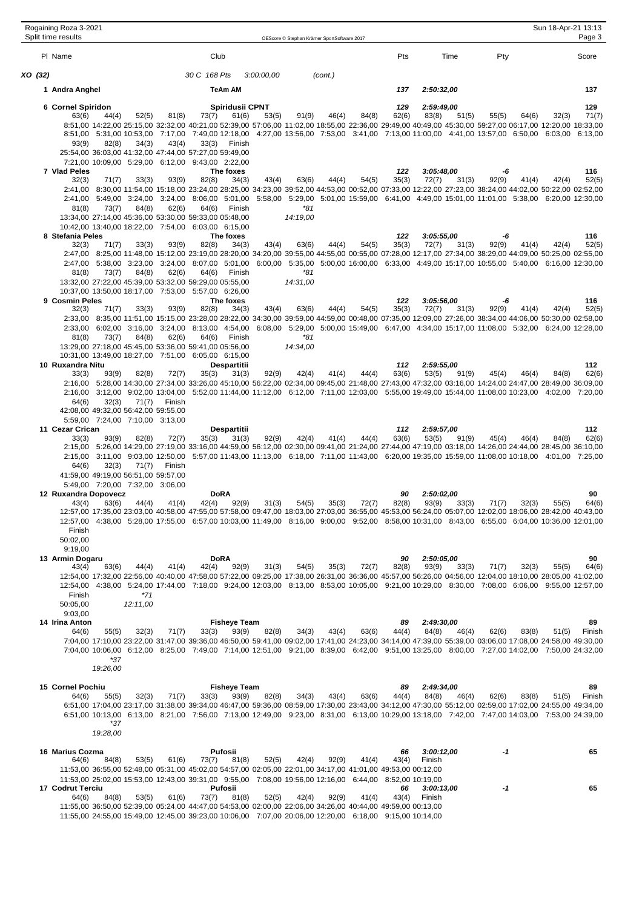|         | Rogaining Roza 3-2021<br>Split time results |                                                                        |        |                                                                                                                                                                                                                                                                                                           |            | OEScore © Stephan Krämer SportSoftware 2017 |         |       |              |                      |                      |       | Sun 18-Apr-21 13:13 | Page 3       |
|---------|---------------------------------------------|------------------------------------------------------------------------|--------|-----------------------------------------------------------------------------------------------------------------------------------------------------------------------------------------------------------------------------------------------------------------------------------------------------------|------------|---------------------------------------------|---------|-------|--------------|----------------------|----------------------|-------|---------------------|--------------|
|         | PI Name                                     |                                                                        |        | Club                                                                                                                                                                                                                                                                                                      |            |                                             |         |       | Pts          | Time                 | Pty                  |       |                     | Score        |
| XO (32) |                                             |                                                                        |        | 30 C 168 Pts                                                                                                                                                                                                                                                                                              | 3:00:00,00 |                                             | (cont.) |       |              |                      |                      |       |                     |              |
|         | 1 Andra Anghel                              |                                                                        |        | TeAm AM                                                                                                                                                                                                                                                                                                   |            |                                             |         |       | 137          | 2:50:32,00           |                      |       |                     | 137          |
|         | 6 Cornel Spiridon<br>63(6)                  | 52(5)<br>44(4)                                                         | 81(8)  | Spiridusii CPNT<br>73(7)<br>61(6)                                                                                                                                                                                                                                                                         | 53(5)      | 91(9)                                       | 46(4)   | 84(8) | 129<br>62(6) | 2:59:49,00<br>83(8)  | 55(5)<br>51(5)       | 64(6) | 32(3)               | 129<br>71(7) |
|         |                                             |                                                                        |        | 8:51,00 14:22,00 25:15,00 32:32,00 40:21,00 52:39,00 57:06,00 11:02,00 18:55,00 22:36,00 29:49,00 40:49,00 45:30,00 59:27,00 06:17,00 12:20,00 18:33,00                                                                                                                                                   |            |                                             |         |       |              |                      |                      |       |                     |              |
|         | 93(9)                                       | 82(8)<br>34(3)                                                         | 43(4)  | 8:51,00 5:31,00 10:53,00 7:17,00 7:49,00 12:18,00 4:27,00 13:56,00 7:53,00 3:41,00 7:13,00 11:00,00 4:41,00 13:57,00 6:50,00 6:03,00 6:13,00<br>33(3)<br>Finish                                                                                                                                           |            |                                             |         |       |              |                      |                      |       |                     |              |
|         |                                             |                                                                        |        | 25:54,00 36:03,00 41:32,00 47:44,00 57:27,00 59:49,00<br>7:21,00 10:09,00 5:29,00 6:12,00 9:43,00 2:22,00                                                                                                                                                                                                 |            |                                             |         |       |              |                      |                      |       |                     |              |
|         | 7 Vlad Peles<br>32(3)                       | 71(7)<br>33(3)                                                         | 93(9)  | The foxes<br>82(8)<br>34(3)                                                                                                                                                                                                                                                                               | 43(4)      | 63(6)                                       | 44(4)   | 54(5) | 122<br>35(3) | 3:05:48,00<br>72(7)  | -6<br>31(3)<br>92(9) | 41(4) | 42(4)               | 116<br>52(5) |
|         |                                             |                                                                        |        | 2:41,00 8:30,00 11:54,00 15:18,00 23:24,00 28:25,00 34:23,00 39:52,00 44:53,00 00:52,00 07:33,00 12:22,00 27:23,00 38:24,00 44:02,00 50:22,00 02:52,00                                                                                                                                                    |            |                                             |         |       |              |                      |                      |       |                     |              |
|         | 81(8)                                       | 73(7)<br>84(8)                                                         | 62(6)  | 2:41,00 5:49,00 3:24,00 3:24,00 8:06,00 5:01,00 5:58,00 5:29,00 5:01,00 15:59,00 6:41,00 4:49,00 15:01,00 11:01,00 5:38,00 6:20,00 12:30,00<br>64(6)<br>Finish                                                                                                                                            |            | $*81$                                       |         |       |              |                      |                      |       |                     |              |
|         |                                             |                                                                        |        | 13:34,00 27:14,00 45:36,00 53:30,00 59:33,00 05:48,00                                                                                                                                                                                                                                                     |            | 14:19,00                                    |         |       |              |                      |                      |       |                     |              |
|         | 8 Stefania Peles                            |                                                                        |        | 10:42,00 13:40,00 18:22,00 7:54,00 6:03,00 6:15,00<br>The foxes                                                                                                                                                                                                                                           |            |                                             |         |       | 122          | 3:05:55,00           | -6                   |       |                     | 116          |
|         | 32(3)                                       | 71(7)<br>33(3)                                                         | 93(9)  | 82(8)<br>34(3)<br>2:47,00 8:25,00 11:48,00 15:12,00 23:19,00 28:20,00 34:20,00 39:55,00 44:55,00 00:55,00 07:28,00 12:17,00 27:34,00 38:29,00 44:09,00 50:25,00 02:55,00                                                                                                                                  | 43(4)      | 63(6)                                       | 44(4)   | 54(5) | 35(3)        | 72(7)                | 31(3)<br>92(9)       | 41(4) | 42(4)               | 52(5)        |
|         | 81(8)                                       | 73(7)<br>84(8)                                                         | 62(6)  | 2:47,00 5:38,00 3:23,00 3:24,00 8:07,00 5:01,00 6:00,00 5:35,00 5:00,00 16:00,00 6:33,00 4:49,00 15:17,00 10:55,00 5:40,00 6:16,00 12:30,00<br>64(6)<br>Finish                                                                                                                                            |            | *81                                         |         |       |              |                      |                      |       |                     |              |
|         |                                             |                                                                        |        | 13:32,00 27:22,00 45:39,00 53:32,00 59:29,00 05:55,00                                                                                                                                                                                                                                                     |            | 14:31,00                                    |         |       |              |                      |                      |       |                     |              |
|         | 9 Cosmin Peles                              |                                                                        |        | 10:37,00 13:50,00 18:17,00 7:53,00 5:57,00 6:26,00<br>The foxes                                                                                                                                                                                                                                           |            |                                             |         |       | 122          | 3:05:56,00           | -6                   |       |                     | 116          |
|         | 32(3)                                       | 71(7)<br>33(3)                                                         | 93(9)  | 82(8)<br>34(3)<br>2:33,00 8:35,00 11:51,00 15:15,00 23:28,00 28:22,00 34:30,00 39:59,00 44:59,00 00:48,00 07:35,00 12:09,00 27:26,00 38:34,00 44:06,00 50:30,00 02:58,00                                                                                                                                  | 43(4)      | 63(6)                                       | 44(4)   | 54(5) | 35(3)        | 72(7)                | 31(3)<br>92(9)       | 41(4) | 42(4)               | 52(5)        |
|         |                                             |                                                                        |        | 2:33,00 6:02,00 3:16,00 3:24,00 8:13,00 4:54,00 6:08,00 5:29,00 5:00,00 15:49,00 6:47,00 4:34,00 15:17,00 11:08,00 5:32,00 6:24,00 12:28,00                                                                                                                                                               |            |                                             |         |       |              |                      |                      |       |                     |              |
|         | 81(8)                                       | 73(7)<br>84(8)                                                         | 62(6)  | 64(6)<br>Finish<br>13:29,00 27:18,00 45:45,00 53:36,00 59:41,00 05:56,00                                                                                                                                                                                                                                  |            | *81<br>14:34,00                             |         |       |              |                      |                      |       |                     |              |
|         | 10 Ruxandra Nitu                            |                                                                        |        | 10:31,00 13:49,00 18:27,00 7:51,00 6:05,00 6:15,00<br>Despartitii                                                                                                                                                                                                                                         |            |                                             |         |       | 112          | 2:59:55,00           |                      |       |                     | 112          |
|         | 33(3)                                       | 93(9)<br>82(8)                                                         | 72(7)  | 35(3)<br>31(3)                                                                                                                                                                                                                                                                                            | 92(9)      | 42(4)                                       | 41(4)   | 44(4) | 63(6)        | 53(5)                | 91(9)<br>45(4)       | 46(4) | 84(8)               | 62(6)        |
|         |                                             |                                                                        |        | 2:16,00 5:28,00 14:30,00 27:34,00 33:26,00 45:10,00 56:22,00 02:34,00 09:45,00 21:48,00 27:43,00 47:32,00 03:16,00 14:24,00 24:47,00 28:49,00 36:09,00<br>2:16,00 3:12,00 9:02,00 13:04,00 5:52,00 11:44,00 11:12,00 6:12,00 7:11,00 12:03,00 5:55,00 19:49,00 15:44,00 11:08,00 10:23,00 4:02,00 7:20,00 |            |                                             |         |       |              |                      |                      |       |                     |              |
|         | 64(6)                                       | 32(3)<br>71(7)<br>42:08,00 49:32,00 56:42,00 59:55,00                  | Finish |                                                                                                                                                                                                                                                                                                           |            |                                             |         |       |              |                      |                      |       |                     |              |
|         |                                             | 5:59,00 7:24,00 7:10,00 3:13,00                                        |        |                                                                                                                                                                                                                                                                                                           |            |                                             |         |       |              |                      |                      |       |                     |              |
|         | 11 Cezar Crican<br>33(3)                    | 93(9)<br>82(8)                                                         | 72(7)  | Despartitii<br>31(3)<br>35(3)                                                                                                                                                                                                                                                                             | 92(9)      | 42(4)                                       | 41(4)   | 44(4) | 112<br>63(6) | 2:59:57,00<br>53(5)  | 91(9)<br>45(4)       | 46(4) | 84(8)               | 112<br>62(6) |
|         |                                             |                                                                        |        | 2:15,00 5:26,00 14:29,00 27:19,00 33:16,00 44:59,00 56:12,00 02:30,00 09:41,00 21:24,00 27:44,00 47:19,00 03:18,00 14:26,00 24:44,00 28:45,00 36:10,00<br>2:15,00 3:11,00 9:03,00 12:50,00 5:57,00 11:43,00 11:13,00 6:18,00 7:11,00 11:43,00 6:20,00 19:35,00 15:59,00 11:08,00 10:18,00 4:01,00 7:25,00 |            |                                             |         |       |              |                      |                      |       |                     |              |
|         | 64(6)                                       | 32(3)<br>71(7)                                                         | Finish |                                                                                                                                                                                                                                                                                                           |            |                                             |         |       |              |                      |                      |       |                     |              |
|         |                                             | 41:59,00 49:19,00 56:51,00 59:57,00<br>5:49,00 7:20,00 7:32,00 3:06,00 |        |                                                                                                                                                                                                                                                                                                           |            |                                             |         |       |              |                      |                      |       |                     |              |
|         | 12 Ruxandra Dopovecz<br>43(4)               | 63(6)<br>44(4)                                                         | 41(4)  | <b>DoRA</b><br>92(9)<br>42(4)                                                                                                                                                                                                                                                                             | 31(3)      | 54(5)                                       | 35(3)   | 72(7) | 90<br>82(8)  | 2:50:02,00<br>93(9)  | 71(7)<br>33(3)       | 32(3) | 55(5)               | 90<br>64(6)  |
|         |                                             |                                                                        |        | 12:57,00 17:35,00 23:03,00 40:58,00 47:55,00 57:58,00 09:47,00 18:03,00 27:03,00 36:55,00 45:53,00 56:24,00 05:07,00 12:02,00 18:06,00 28:42,00 40:43,00                                                                                                                                                  |            |                                             |         |       |              |                      |                      |       |                     |              |
|         | Finish                                      |                                                                        |        | 12:57.00 4:38.00 5:28.00 17:55.00 6:57.00 10:03.00 11:49.00 8:16.00 9:00.00 9:52.00 8:58.00 10:31.00 8:43.00 6:55.00 6:04.00 10:36.00 12:01.00                                                                                                                                                            |            |                                             |         |       |              |                      |                      |       |                     |              |
|         | 50:02,00<br>9:19,00                         |                                                                        |        |                                                                                                                                                                                                                                                                                                           |            |                                             |         |       |              |                      |                      |       |                     |              |
|         | 13 Armin Dogaru<br>43(4)                    | 63(6)<br>44(4)                                                         | 41(4)  | <b>DoRA</b><br>92(9)<br>42(4)                                                                                                                                                                                                                                                                             | 31(3)      | 54(5)                                       | 35(3)   | 72(7) | 90<br>82(8)  | 2:50:05,00<br>93(9)  | 33(3)<br>71(7)       | 32(3) | 55(5)               | 90<br>64(6)  |
|         |                                             |                                                                        |        | 12:54,00 17:32,00 22:56,00 40:40,00 47:58,00 57:22,00 09:25,00 17:38,00 26:31,00 36:36,00 45:57,00 56:26,00 04:56,00 12:04,00 18:10,00 28:05,00 41:02,00                                                                                                                                                  |            |                                             |         |       |              |                      |                      |       |                     |              |
|         | Finish                                      | *71                                                                    |        | 12:54,00 4:38,00 5:24,00 17:44,00 7:18,00 9:24,00 12:03,00 8:13,00 8:53,00 10:05,00 9:21,00 10:29,00 8:30,00 7:08,00 6:06,00 9:55,00 12:57,00                                                                                                                                                             |            |                                             |         |       |              |                      |                      |       |                     |              |
|         | 50:05,00<br>9:03,00                         | 12:11,00                                                               |        |                                                                                                                                                                                                                                                                                                           |            |                                             |         |       |              |                      |                      |       |                     |              |
|         | 14 Irina Anton                              |                                                                        |        | <b>Fisheye Team</b>                                                                                                                                                                                                                                                                                       |            |                                             |         |       | 89           | 2:49:30,00           |                      |       |                     | 89           |
|         | 64(6)                                       | 55(5)<br>32(3)                                                         | 71(7)  | 33(3)<br>93(9)<br>7:04,00 17:10,00 23:22,00 31:47,00 39:36,00 46:50,00 59:41,00 09:02,00 17:41,00 24:23,00 34:14,00 47:39,00 55:39,00 03:06,00 17:08,00 24:58,00 49:30,00                                                                                                                                 | 82(8)      | 34(3)                                       | 43(4)   | 63(6) | 44(4)        | 84(8)                | 46(4)<br>62(6)       | 83(8) | 51(5)               | Finish       |
|         |                                             | *37                                                                    |        | 7:04,00 10:06,00 6:12,00 8:25,00 7:49,00 7:14,00 12:51,00 9:21,00 8:39,00 6:42,00 9:51,00 13:25,00 8:00,00 7:27,00 14:02,00 7:50,00 24:32,00                                                                                                                                                              |            |                                             |         |       |              |                      |                      |       |                     |              |
|         |                                             | 19:26,00                                                               |        |                                                                                                                                                                                                                                                                                                           |            |                                             |         |       |              |                      |                      |       |                     |              |
|         | 15 Cornel Pochiu                            |                                                                        |        | <b>Fisheye Team</b>                                                                                                                                                                                                                                                                                       |            |                                             |         |       | 89           | 2:49:34,00           |                      |       |                     | 89           |
|         | 64(6)                                       | 55(5)<br>32(3)                                                         | 71(7)  | 93(9)<br>33(3)<br>6:51,00 17:04,00 23:17,00 31:38,00 39:34,00 46:47,00 59:36,00 08:59,00 17:30,00 23:43,00 34:12,00 47:30,00 55:12,00 02:59,00 17:02,00 24:55,00 49:34,00                                                                                                                                 | 82(8)      | 34(3)                                       | 43(4)   | 63(6) | 44(4)        | 84(8)                | 46(4)<br>62(6)       | 83(8) | 51(5)               | Finish       |
|         |                                             | *37                                                                    |        | 6:51,00 10:13,00 6:13,00 8:21,00 7:56,00 7:13,00 12:49,00 9:23,00 8:31,00 6:13,00 10:29,00 13:18,00 7:42,00 7:47,00 14:03,00 7:53,00 24:39,00                                                                                                                                                             |            |                                             |         |       |              |                      |                      |       |                     |              |
|         |                                             | 19:28,00                                                               |        |                                                                                                                                                                                                                                                                                                           |            |                                             |         |       |              |                      |                      |       |                     |              |
|         | 16 Marius Cozma                             |                                                                        |        | Pufosii                                                                                                                                                                                                                                                                                                   |            |                                             |         |       | 66           | 3:00:12,00           | -1                   |       |                     | 65           |
|         | 64(6)                                       | 84(8)<br>53(5)                                                         | 61(6)  | 73(7)<br>81(8)<br>11:53,00 36:55,00 52:48,00 05:31,00 45:02,00 54:57,00 02:05,00 22:01,00 34:17,00 41:01,00 49:53,00 00:12,00                                                                                                                                                                             | 52(5)      | 42(4)                                       | 92(9)   | 41(4) | 43(4)        | Finish               |                      |       |                     |              |
|         |                                             |                                                                        |        | 11:53,00 25:02,00 15:53,00 12:43,00 39:31,00 9:55,00 7:08,00 19:56,00 12:16,00 6:44,00 8:52,00 10:19,00                                                                                                                                                                                                   |            |                                             |         |       |              |                      |                      |       |                     |              |
|         | 17 Codrut Terciu<br>64(6)                   | 84(8)<br>53(5)                                                         | 61(6)  | Pufosii<br>73(7)<br>81(8)                                                                                                                                                                                                                                                                                 | 52(5)      | 42(4)                                       | 92(9)   | 41(4) | 66<br>43(4)  | 3:00:13,00<br>Finish | -1                   |       |                     | 65           |
|         |                                             |                                                                        |        | 11:55,00 36:50,00 52:39,00 05:24,00 44:47,00 54:53,00 02:00,00 22:06,00 34:26,00 40:44,00 49:59,00 00:13,00<br>11:55,00 24:55,00 15:49,00 12:45,00 39:23,00 10:06,00 7:07,00 20:06,00 12:20,00 6:18,00 9:15,00 10:14,00                                                                                   |            |                                             |         |       |              |                      |                      |       |                     |              |
|         |                                             |                                                                        |        |                                                                                                                                                                                                                                                                                                           |            |                                             |         |       |              |                      |                      |       |                     |              |

l,